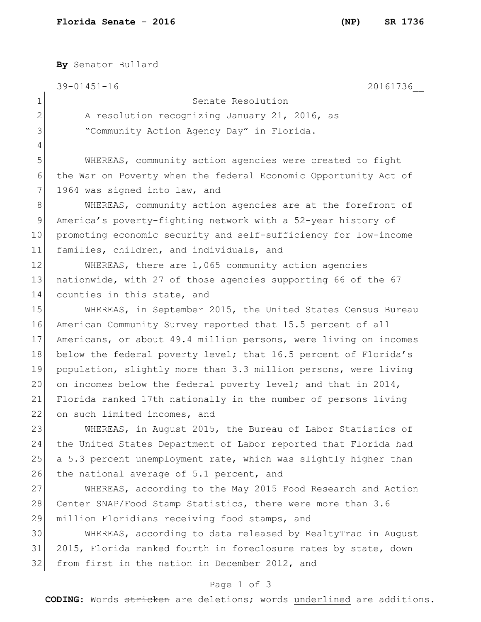**By** Senator Bullard 39-01451-16 20161736\_\_ 1 Senate Resolution 2 A resolution recognizing January 21, 2016, as 3 Sammunity Action Agency Day" in Florida. 4 5 WHEREAS, community action agencies were created to fight 6 the War on Poverty when the federal Economic Opportunity Act of 7 1964 was signed into law, and 8 WHEREAS, community action agencies are at the forefront of 9 America's poverty-fighting network with a 52-year history of 10 promoting economic security and self-sufficiency for low-income 11 families, children, and individuals, and 12 WHEREAS, there are 1,065 community action agencies 13 nationwide, with 27 of those agencies supporting 66 of the 67 14 counties in this state, and 15 WHEREAS, in September 2015, the United States Census Bureau 16 American Community Survey reported that 15.5 percent of all 17 Americans, or about 49.4 million persons, were living on incomes 18 below the federal poverty level; that 16.5 percent of Florida's 19 population, slightly more than 3.3 million persons, were living 20 on incomes below the federal poverty level; and that in 2014, 21 Florida ranked 17th nationally in the number of persons living 22 on such limited incomes, and 23 WHEREAS, in August 2015, the Bureau of Labor Statistics of 24 the United States Department of Labor reported that Florida had 25 a 5.3 percent unemployment rate, which was slightly higher than 26 the national average of 5.1 percent, and 27 WHEREAS, according to the May 2015 Food Research and Action 28 Center SNAP/Food Stamp Statistics, there were more than 3.6 29 million Floridians receiving food stamps, and 30 WHEREAS, according to data released by RealtyTrac in August 31 2015, Florida ranked fourth in foreclosure rates by state, down

32 from first in the nation in December 2012, and

## Page 1 of 3

**CODING**: Words stricken are deletions; words underlined are additions.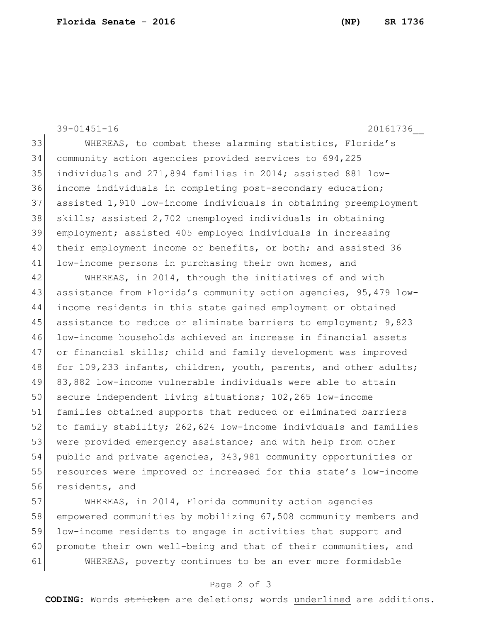39-01451-16 20161736\_\_ 33 WHEREAS, to combat these alarming statistics, Florida's 34 community action agencies provided services to 694,225 35 individuals and 271,894 families in 2014; assisted 881 low-36 income individuals in completing post-secondary education; 37 assisted 1,910 low-income individuals in obtaining preemployment 38 skills; assisted 2,702 unemployed individuals in obtaining 39 employment; assisted 405 employed individuals in increasing 40 their employment income or benefits, or both; and assisted 36 41 low-income persons in purchasing their own homes, and

42 WHEREAS, in 2014, through the initiatives of and with 43 assistance from Florida's community action agencies, 95,479 low-44 income residents in this state gained employment or obtained 45 assistance to reduce or eliminate barriers to employment; 9,823 46 low-income households achieved an increase in financial assets 47 or financial skills; child and family development was improved 48 for 109,233 infants, children, youth, parents, and other adults; 49 83,882 low-income vulnerable individuals were able to attain 50 secure independent living situations; 102,265 low-income 51 families obtained supports that reduced or eliminated barriers 52 to family stability; 262,624 low-income individuals and families 53 were provided emergency assistance; and with help from other 54 public and private agencies, 343,981 community opportunities or 55 resources were improved or increased for this state's low-income 56 residents, and

 WHEREAS, in 2014, Florida community action agencies empowered communities by mobilizing 67,508 community members and low-income residents to engage in activities that support and 60 promote their own well-being and that of their communities, and WHEREAS, poverty continues to be an ever more formidable

### Page 2 of 3

**CODING**: Words stricken are deletions; words underlined are additions.